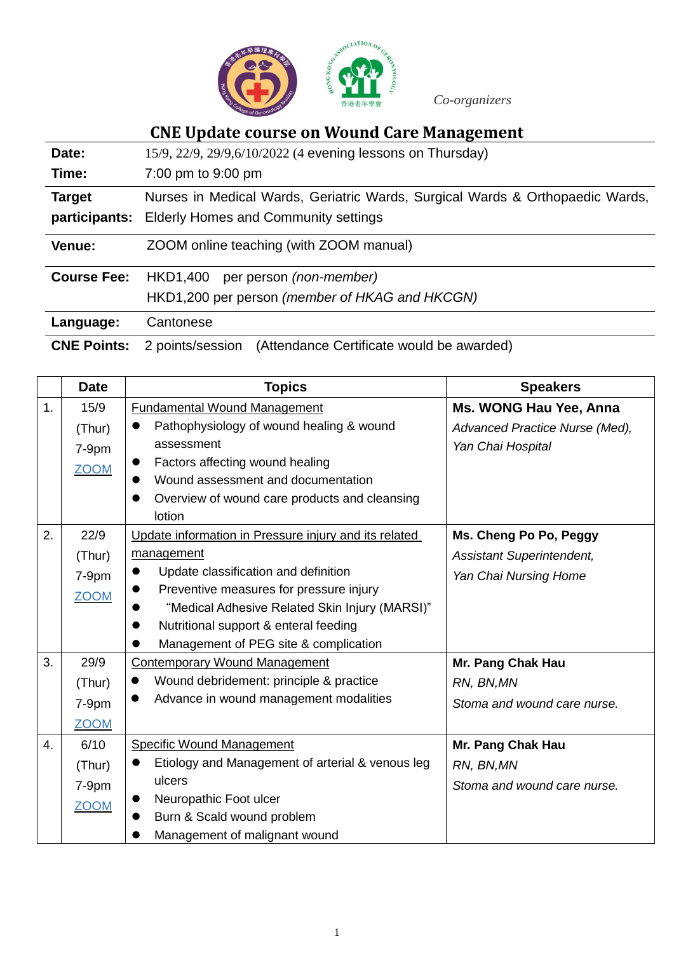

*Co-organizers*

# **CNE Update course on Wound Care Management**

| Date:              | 15/9, 22/9, 29/9, 6/10/2022 (4 evening lessons on Thursday)                   |
|--------------------|-------------------------------------------------------------------------------|
| Time:              | 7:00 pm to 9:00 pm                                                            |
| <b>Target</b>      | Nurses in Medical Wards, Geriatric Wards, Surgical Wards & Orthopaedic Wards, |
| participants:      | <b>Elderly Homes and Community settings</b>                                   |
| Venue:             | ZOOM online teaching (with ZOOM manual)                                       |
| <b>Course Fee:</b> | per person (non-member)<br>HKD1,400                                           |
|                    | HKD1,200 per person (member of HKAG and HKCGN)                                |
| Language:          | Cantonese                                                                     |
| <b>CNE Points:</b> | 2 points/session<br>(Attendance Certificate would be awarded)                 |

|    | <b>Date</b> | <b>Topics</b>                                         | <b>Speakers</b>                |
|----|-------------|-------------------------------------------------------|--------------------------------|
| 1. | 15/9        | <b>Fundamental Wound Management</b>                   | Ms. WONG Hau Yee, Anna         |
|    | (Thur)      | Pathophysiology of wound healing & wound              | Advanced Practice Nurse (Med), |
|    | $7-9pm$     | assessment                                            | Yan Chai Hospital              |
|    | <b>ZOOM</b> | Factors affecting wound healing<br>$\bullet$          |                                |
|    |             | Wound assessment and documentation                    |                                |
|    |             | Overview of wound care products and cleansing         |                                |
|    |             | lotion                                                |                                |
| 2. | 22/9        | Update information in Pressure injury and its related | Ms. Cheng Po Po, Peggy         |
|    | (Thur)      | management                                            | Assistant Superintendent,      |
|    | 7-9pm       | Update classification and definition                  | Yan Chai Nursing Home          |
|    | <b>ZOOM</b> | Preventive measures for pressure injury               |                                |
|    |             | "Medical Adhesive Related Skin Injury (MARSI)"        |                                |
|    |             | Nutritional support & enteral feeding                 |                                |
|    |             | Management of PEG site & complication                 |                                |
| 3. | 29/9        | <b>Contemporary Wound Management</b>                  | Mr. Pang Chak Hau              |
|    | (Thur)      | Wound debridement: principle & practice               | RN, BN, MN                     |
|    | $7-9pm$     | Advance in wound management modalities                | Stoma and wound care nurse.    |
|    | <b>ZOOM</b> |                                                       |                                |
| 4. | 6/10        | <b>Specific Wound Management</b>                      | Mr. Pang Chak Hau              |
|    | (Thur)      | Etiology and Management of arterial & venous leg      | RN, BN, MN                     |
|    | $7-9pm$     | ulcers                                                | Stoma and wound care nurse.    |
|    | <b>ZOOM</b> | Neuropathic Foot ulcer<br>●                           |                                |
|    |             | Burn & Scald wound problem                            |                                |
|    |             | Management of malignant wound                         |                                |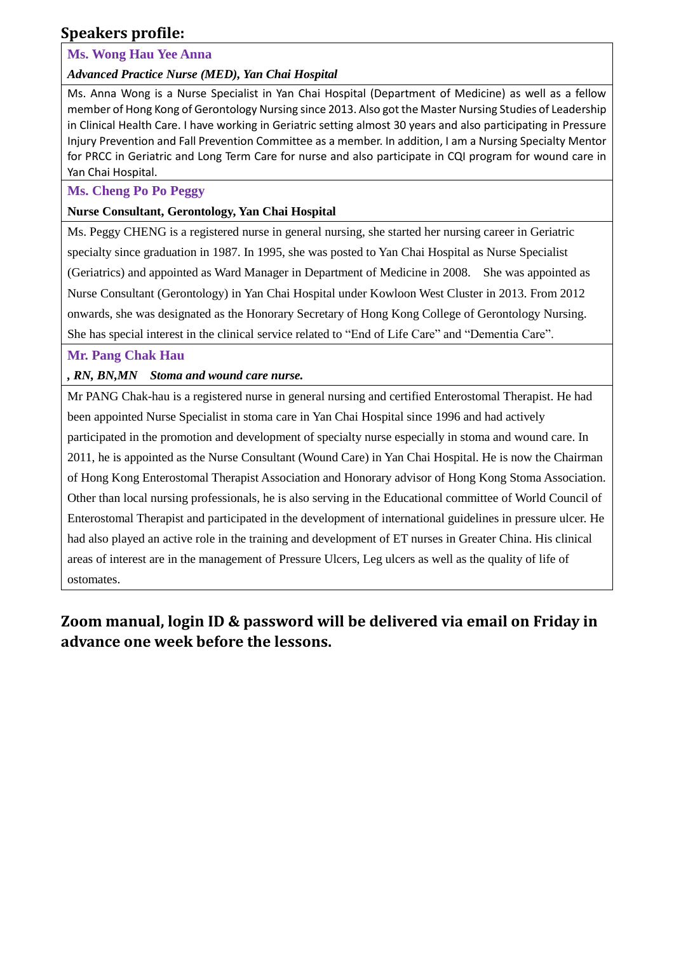# **Speakers profile:**

### **Ms. Wong Hau Yee Anna**

*Advanced Practice Nurse (MED), Yan Chai Hospital*

Ms. Anna Wong is a Nurse Specialist in Yan Chai Hospital (Department of Medicine) as well as a fellow member of Hong Kong of Gerontology Nursing since 2013. Also got the Master Nursing Studies of Leadership in Clinical Health Care. I have working in Geriatric setting almost 30 years and also participating in Pressure Injury Prevention and Fall Prevention Committee as a member. In addition, I am a Nursing Specialty Mentor for PRCC in Geriatric and Long Term Care for nurse and also participate in CQI program for wound care in Yan Chai Hospital.

### **Ms. Cheng Po Po Peggy**

#### **Nurse Consultant, Gerontology, Yan Chai Hospital**

Ms. Peggy CHENG is a registered nurse in general nursing, she started her nursing career in Geriatric specialty since graduation in 1987. In 1995, she was posted to Yan Chai Hospital as Nurse Specialist (Geriatrics) and appointed as Ward Manager in Department of Medicine in 2008. She was appointed as Nurse Consultant (Gerontology) in Yan Chai Hospital under Kowloon West Cluster in 2013. From 2012 onwards, she was designated as the Honorary Secretary of Hong Kong College of Gerontology Nursing. She has special interest in the clinical service related to "End of Life Care" and "Dementia Care".

#### **Mr. Pang Chak Hau**

*, RN, BN,MN Stoma and wound care nurse.*

Mr PANG Chak-hau is a registered nurse in general nursing and certified Enterostomal Therapist. He had been appointed Nurse Specialist in stoma care in Yan Chai Hospital since 1996 and had actively participated in the promotion and development of specialty nurse especially in stoma and wound care. In 2011, he is appointed as the Nurse Consultant (Wound Care) in Yan Chai Hospital. He is now the Chairman of Hong Kong Enterostomal Therapist Association and Honorary advisor of Hong Kong Stoma Association. Other than local nursing professionals, he is also serving in the Educational committee of World Council of Enterostomal Therapist and participated in the development of international guidelines in pressure ulcer. He had also played an active role in the training and development of ET nurses in Greater China. His clinical areas of interest are in the management of Pressure Ulcers, Leg ulcers as well as the quality of life of ostomates.

# **Zoom manual, login ID & password will be delivered via email on Friday in advance one week before the lessons.**